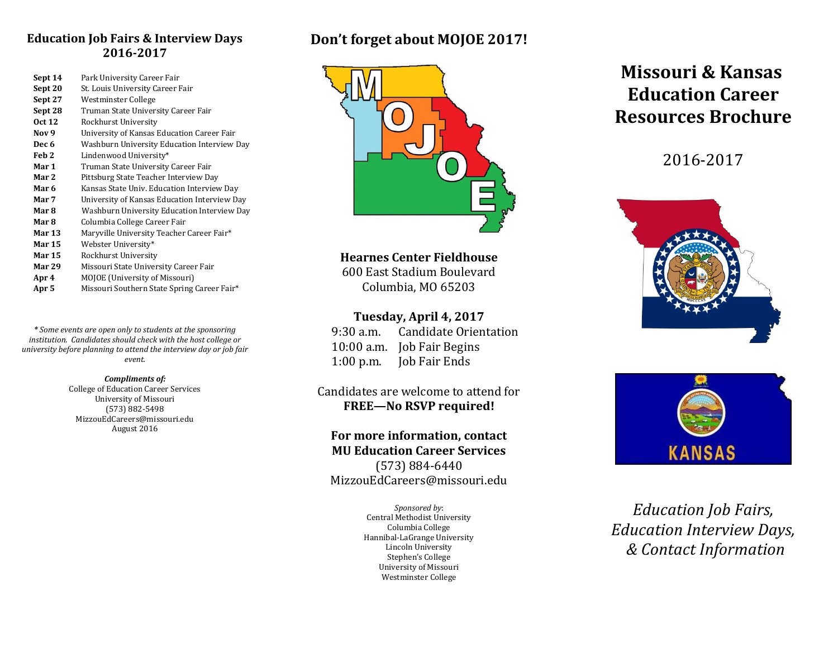# **Education Job Fairs & Interview Days 2016-2017**

| Sept 14          | Park University Career Fair                  |
|------------------|----------------------------------------------|
| Sept 20          | St. Louis University Career Fair             |
| Sept 27          | Westminster College                          |
| Sept 28          | Truman State University Career Fair          |
| <b>Oct 12</b>    | Rockhurst University                         |
| Nov <sub>9</sub> | University of Kansas Education Career Fair   |
| Dec 6            | Washburn University Education Interview Day  |
| Feb 2            | Lindenwood University*                       |
| Mar 1            | Truman State University Career Fair          |
| Mar 2            | Pittsburg State Teacher Interview Day        |
| Mar 6            | Kansas State Univ. Education Interview Day   |
| Mar 7            | University of Kansas Education Interview Day |
| Mar 8            | Washburn University Education Interview Day  |
| Mar 8            | Columbia College Career Fair                 |
| <b>Mar 13</b>    | Maryville University Teacher Career Fair*    |
| <b>Mar 15</b>    | Webster University*                          |
| <b>Mar 15</b>    | Rockhurst University                         |
| Mar 29           | Missouri State University Career Fair        |
| Apr 4            | MOJOE (University of Missouri)               |
| Apr 5            | Missouri Southern State Spring Career Fair*  |

*\* Some events are open only to students at the sponsoring institution. Candidates should check with the host college or university before planning to attend the interview day or job fair event.*

#### *Compliments of:*

College of Education Career Services University of Missouri (573) 882-5498 MizzouEdCareers@missouri.edu August 2016

# **Don't forget about MOJOE 2017!**



**Hearnes Center Fieldhouse**

600 East Stadium Boulevard Columbia, MO 65203

## **Tuesday, April 4, 2017**

9:30 a.m. Candidate Orientation 10:00 a.m. Job Fair Begins 1:00 p.m. Job Fair Ends

# Candidates are welcome to attend for **FREE—No RSVP required!**

**For more information, contact MU Education Career Services** (573) 884-6440 MizzouEdCareers@missouri.edu

> *Sponsored by*: Central Methodist University Columbia College Hannibal-LaGrange University Lincoln University Stephen's College University of Missouri Westminster College

# **Missouri & Kansas Education Career Resources Brochure**

# 2016-2017





*Education Job Fairs, Education Interview Days, & Contact Information*